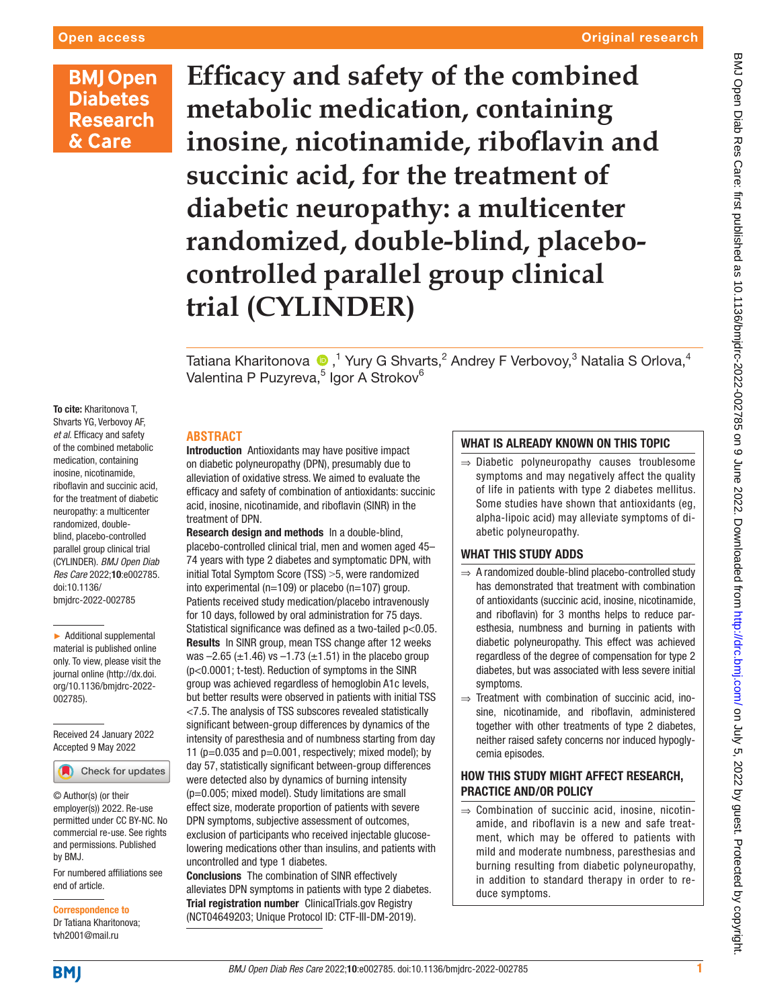# **BMJ Open Diabetes Research** & Care

**Efficacy and safety of the combined metabolic medication, containing inosine, nicotinamide, riboflavin and succinic acid, for the treatment of diabetic neuropathy: a multicenter randomized, double-blind, placebocontrolled parallel group clinical trial (CYLINDER)**

Tatiana Kharitonova  $\textcolor{blue}{\bullet}$  ,<sup>1</sup> Yury G Shvarts,<sup>2</sup> Andrey F Verbovoy,<sup>3</sup> Natalia S Orlova,<sup>4</sup> Valentina P Puzyreva,<sup>5</sup> Igor A Strokov<sup>6</sup>

To cite: Kharitonova T, Shvarts YG, Verbovoy AF, *et al*. Efficacy and safety of the combined metabolic medication, containing inosine, nicotinamide, riboflavin and succinic acid, for the treatment of diabetic neuropathy: a multicenter randomized, doubleblind, placebo-controlled parallel group clinical trial (CYLINDER). *BMJ Open Diab Res Care* 2022;10:e002785. doi:10.1136/ bmjdrc-2022-002785

► Additional supplemental material is published online only. To view, please visit the journal online ([http://dx.doi.](http://dx.doi.org/10.1136/bmjdrc-2022-002785) [org/10.1136/bmjdrc-2022-](http://dx.doi.org/10.1136/bmjdrc-2022-002785) [002785](http://dx.doi.org/10.1136/bmjdrc-2022-002785)).

Received 24 January 2022 Accepted 9 May 2022



© Author(s) (or their employer(s)) 2022. Re-use permitted under CC BY-NC. No commercial re-use. See rights and permissions. Published by BMJ.

For numbered affiliations see end of article.

Correspondence to Dr Tatiana Kharitonova;

tvh2001@mail.ru

Introduction Antioxidants may have positive impact on diabetic polyneuropathy (DPN), presumably due to alleviation of oxidative stress. We aimed to evaluate the efficacy and safety of combination of antioxidants: succinic acid, inosine, nicotinamide, and riboflavin (SINR) in the treatment of DPN.

**ABSTRACT**

Research design and methods In a double-blind, placebo-controlled clinical trial, men and women aged 45– 74 years with type 2 diabetes and symptomatic DPN, with initial Total Symptom Score (TSS) > 5, were randomized into experimental (n=109) or placebo (n=107) group. Patients received study medication/placebo intravenously for 10 days, followed by oral administration for 75 days. Statistical significance was defined as a two-tailed p<0.05. Results In SINR group, mean TSS change after 12 weeks was  $-2.65$  ( $\pm$ 1.46) vs  $-1.73$  ( $\pm$ 1.51) in the placebo group (p<0.0001; t-test). Reduction of symptoms in the SINR group was achieved regardless of hemoglobin A1c levels, but better results were observed in patients with initial TSS <7.5. The analysis of TSS subscores revealed statistically significant between-group differences by dynamics of the intensity of paresthesia and of numbness starting from day 11 ( $p=0.035$  and  $p=0.001$ , respectively; mixed model); by day 57, statistically significant between-group differences were detected also by dynamics of burning intensity (p=0.005; mixed model). Study limitations are small effect size, moderate proportion of patients with severe DPN symptoms, subjective assessment of outcomes, exclusion of participants who received injectable glucoselowering medications other than insulins, and patients with uncontrolled and type 1 diabetes.

Conclusions The combination of SINR effectively alleviates DPN symptoms in patients with type 2 diabetes. Trial registration number ClinicalTrials.gov Registry (<NCT04649203>; Unique Protocol ID: CTF-III-DM-2019).

# WHAT IS ALREADY KNOWN ON THIS TOPIC

⇒ Diabetic polyneuropathy causes troublesome symptoms and may negatively affect the quality of life in patients with type 2 diabetes mellitus. Some studies have shown that antioxidants (eg, alpha-lipoic acid) may alleviate symptoms of diabetic polyneuropathy.

## WHAT THIS STUDY ADDS

- ⇒ A randomized double-blind placebo-controlled study has demonstrated that treatment with combination of antioxidants (succinic acid, inosine, nicotinamide, and riboflavin) for 3 months helps to reduce paresthesia, numbness and burning in patients with diabetic polyneuropathy. This effect was achieved regardless of the degree of compensation for type 2 diabetes, but was associated with less severe initial symptoms.
- ⇒ Treatment with combination of succinic acid, inosine, nicotinamide, and riboflavin, administered together with other treatments of type 2 diabetes, neither raised safety concerns nor induced hypoglycemia episodes.

# HOW THIS STUDY MIGHT AFFECT RESEARCH, PRACTICE AND/OR POLICY

⇒ Combination of succinic acid, inosine, nicotinamide, and riboflavin is a new and safe treatment, which may be offered to patients with mild and moderate numbness, paresthesias and burning resulting from diabetic polyneuropathy, in addition to standard therapy in order to reduce symptoms.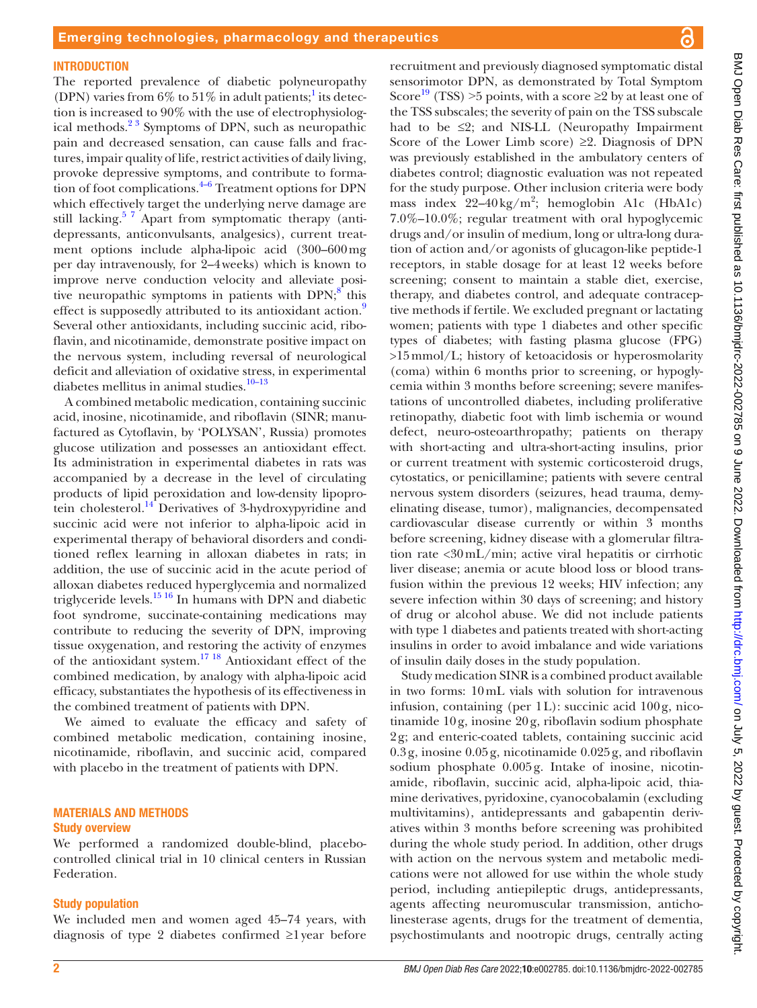#### **INTRODUCTION**

The reported prevalence of diabetic polyneuropathy (DPN) varies from  $6\%$  to  $51\%$  $51\%$  $51\%$  in adult patients;<sup>1</sup> its detection is increased to 90% with the use of electrophysiological methods.<sup>23</sup> Symptoms of DPN, such as neuropathic pain and decreased sensation, can cause falls and fractures, impair quality of life, restrict activities of daily living, provoke depressive symptoms, and contribute to formation of foot complications. $4-6$  Treatment options for DPN which effectively target the underlying nerve damage are still lacking.<sup>57</sup> Apart from symptomatic therapy (antidepressants, anticonvulsants, analgesics), current treatment options include alpha-lipoic acid (300–600mg per day intravenously, for 2–4weeks) which is known to improve nerve conduction velocity and alleviate positive neuropathic symptoms in patients with  $DPN$ ;<sup>8</sup> this effect is supposedly attributed to its antioxidant action.<sup>[9](#page-7-5)</sup> Several other antioxidants, including succinic acid, riboflavin, and nicotinamide, demonstrate positive impact on the nervous system, including reversal of neurological deficit and alleviation of oxidative stress, in experimental diabetes mellitus in animal studies.<sup>10-13</sup>

A combined metabolic medication, containing succinic acid, inosine, nicotinamide, and riboflavin (SINR; manufactured as Cytoflavin, by 'POLYSAN', Russia) promotes glucose utilization and possesses an antioxidant effect. Its administration in experimental diabetes in rats was accompanied by a decrease in the level of circulating products of lipid peroxidation and low-density lipoprotein cholesterol.<sup>14</sup> Derivatives of 3-hydroxypyridine and succinic acid were not inferior to alpha-lipoic acid in experimental therapy of behavioral disorders and conditioned reflex learning in alloxan diabetes in rats; in addition, the use of succinic acid in the acute period of alloxan diabetes reduced hyperglycemia and normalized triglyceride levels. $1516$  In humans with DPN and diabetic foot syndrome, succinate-containing medications may contribute to reducing the severity of DPN, improving tissue oxygenation, and restoring the activity of enzymes of the antioxidant system.[17 18](#page-8-2) Antioxidant effect of the combined medication, by analogy with alpha-lipoic acid efficacy, substantiates the hypothesis of its effectiveness in the combined treatment of patients with DPN.

We aimed to evaluate the efficacy and safety of combined metabolic medication, containing inosine, nicotinamide, riboflavin, and succinic acid, compared with placebo in the treatment of patients with DPN.

#### MATERIALS AND METHODS Study overview

We performed a randomized double-blind, placebocontrolled clinical trial in 10 clinical centers in Russian Federation.

#### Study population

We included men and women aged 45–74 years, with diagnosis of type 2 diabetes confirmed ≥1year before sensorimotor DPN, as demonstrated by Total Symptom Score<sup>19</sup> (TSS) >5 points, with a score  $\geq 2$  by at least one of the TSS subscales; the severity of pain on the TSS subscale had to be  $\leq 2$ ; and NIS-LL (Neuropathy Impairment Score of the Lower Limb score)  $\geq 2$ . Diagnosis of DPN was previously established in the ambulatory centers of diabetes control; diagnostic evaluation was not repeated for the study purpose. Other inclusion criteria were body mass index  $22-40 \text{ kg/m}^2$ ; hemoglobin A1c (HbA1c) 7.0%–10.0%; regular treatment with oral hypoglycemic drugs and/or insulin of medium, long or ultra-long duration of action and/or agonists of glucagon-like peptide-1 receptors, in stable dosage for at least 12 weeks before screening; consent to maintain a stable diet, exercise, therapy, and diabetes control, and adequate contraceptive methods if fertile. We excluded pregnant or lactating women; patients with type 1 diabetes and other specific types of diabetes; with fasting plasma glucose (FPG) >15mmol/L; history of ketoacidosis or hyperosmolarity (coma) within 6 months prior to screening, or hypoglycemia within 3 months before screening; severe manifestations of uncontrolled diabetes, including proliferative retinopathy, diabetic foot with limb ischemia or wound defect, neuro-osteoarthropathy; patients on therapy with short-acting and ultra-short-acting insulins, prior or current treatment with systemic corticosteroid drugs, cytostatics, or penicillamine; patients with severe central nervous system disorders (seizures, head trauma, demyelinating disease, tumor), malignancies, decompensated cardiovascular disease currently or within 3 months before screening, kidney disease with a glomerular filtration rate <30mL/min; active viral hepatitis or cirrhotic liver disease; anemia or acute blood loss or blood transfusion within the previous 12 weeks; HIV infection; any severe infection within 30 days of screening; and history of drug or alcohol abuse. We did not include patients with type 1 diabetes and patients treated with short-acting insulins in order to avoid imbalance and wide variations of insulin daily doses in the study population.

recruitment and previously diagnosed symptomatic distal

Study medication SINR is a combined product available in two forms: 10mL vials with solution for intravenous infusion, containing (per 1L): succinic acid 100g, nicotinamide 10g, inosine 20g, riboflavin sodium phosphate 2g; and enteric-coated tablets, containing succinic acid 0.3g, inosine 0.05g, nicotinamide 0.025g, and riboflavin sodium phosphate 0.005g. Intake of inosine, nicotinamide, riboflavin, succinic acid, alpha-lipoic acid, thiamine derivatives, pyridoxine, cyanocobalamin (excluding multivitamins), antidepressants and gabapentin derivatives within 3 months before screening was prohibited during the whole study period. In addition, other drugs with action on the nervous system and metabolic medications were not allowed for use within the whole study period, including antiepileptic drugs, antidepressants, agents affecting neuromuscular transmission, anticholinesterase agents, drugs for the treatment of dementia, psychostimulants and nootropic drugs, centrally acting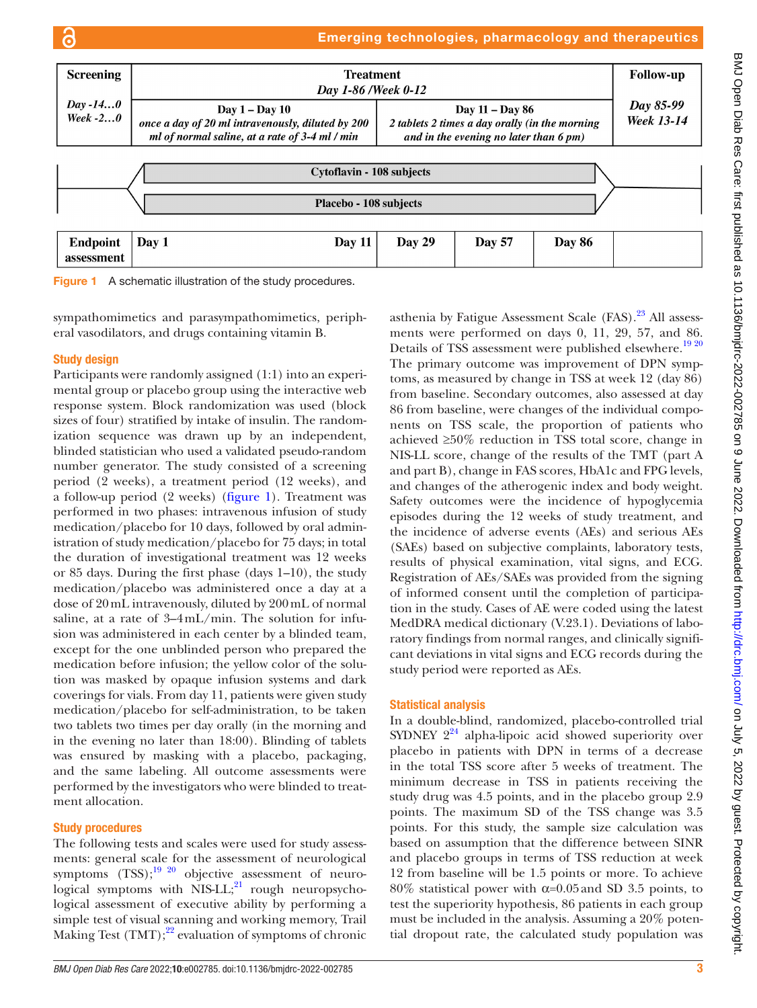### Emerging technologies, pharmacology and therapeutics



<span id="page-2-0"></span>

sympathomimetics and parasympathomimetics, peripheral vasodilators, and drugs containing vitamin B.

### Study design

ഭ

Participants were randomly assigned (1:1) into an experimental group or placebo group using the interactive web response system. Block randomization was used (block sizes of four) stratified by intake of insulin. The randomization sequence was drawn up by an independent, blinded statistician who used a validated pseudo-random number generator. The study consisted of a screening period (2 weeks), a treatment period (12 weeks), and a follow-up period (2 weeks) ([figure](#page-2-0) 1). Treatment was performed in two phases: intravenous infusion of study medication/placebo for 10 days, followed by oral administration of study medication/placebo for 75 days; in total the duration of investigational treatment was 12 weeks or 85 days. During the first phase (days 1–10), the study medication/placebo was administered once a day at a dose of 20mL intravenously, diluted by 200mL of normal saline, at a rate of 3–4mL/min. The solution for infusion was administered in each center by a blinded team, except for the one unblinded person who prepared the medication before infusion; the yellow color of the solution was masked by opaque infusion systems and dark coverings for vials. From day 11, patients were given study medication/placebo for self-administration, to be taken two tablets two times per day orally (in the morning and in the evening no later than 18:00). Blinding of tablets was ensured by masking with a placebo, packaging, and the same labeling. All outcome assessments were performed by the investigators who were blinded to treatment allocation.

### Study procedures

The following tests and scales were used for study assessments: general scale for the assessment of neurological symptoms  $(TSS)$ ;<sup>19 20</sup> objective assessment of neurological symptoms with  $NIS-LL;^{21}$  rough neuropsychological assessment of executive ability by performing a simple test of visual scanning and working memory, Trail Making Test  $(TMT);^{22}$  evaluation of symptoms of chronic

*BMJ Open Diab Res Care* 2022;10:e002785. doi:10.1136/bmjdrc-2022-002785 3

asthenia by Fatigue Assessment Scale  $(FAS)$ .<sup>23</sup> All assessments were performed on days 0, 11, 29, 57, and 86. Details of TSS assessment were published elsewhere.<sup>[19 20](#page-8-3)</sup> The primary outcome was improvement of DPN symptoms, as measured by change in TSS at week 12 (day 86) from baseline. Secondary outcomes, also assessed at day 86 from baseline, were changes of the individual components on TSS scale, the proportion of patients who achieved ≥50% reduction in TSS total score, change in NIS-LL score, change of the results of the TMT (part A and part B), change in FAS scores, HbA1c and FPG levels, and changes of the atherogenic index and body weight. Safety outcomes were the incidence of hypoglycemia episodes during the 12 weeks of study treatment, and the incidence of adverse events (AEs) and serious AEs (SAEs) based on subjective complaints, laboratory tests, results of physical examination, vital signs, and ECG. Registration of AEs/SAEs was provided from the signing of informed consent until the completion of participation in the study. Cases of AE were coded using the latest MedDRA medical dictionary (V.23.1). Deviations of laboratory findings from normal ranges, and clinically significant deviations in vital signs and ECG records during the study period were reported as AEs.

#### Statistical analysis

In a double-blind, randomized, placebo-controlled trial SYDNEY  $2^{24}$  alpha-lipoic acid showed superiority over placebo in patients with DPN in terms of a decrease in the total TSS score after 5 weeks of treatment. The minimum decrease in TSS in patients receiving the study drug was 4.5 points, and in the placebo group 2.9 points. The maximum SD of the TSS change was 3.5 points. For this study, the sample size calculation was based on assumption that the difference between SINR and placebo groups in terms of TSS reduction at week 12 from baseline will be 1.5 points or more. To achieve 80% statistical power with α=0.05and SD 3.5 points, to test the superiority hypothesis, 86 patients in each group must be included in the analysis. Assuming a 20% potential dropout rate, the calculated study population was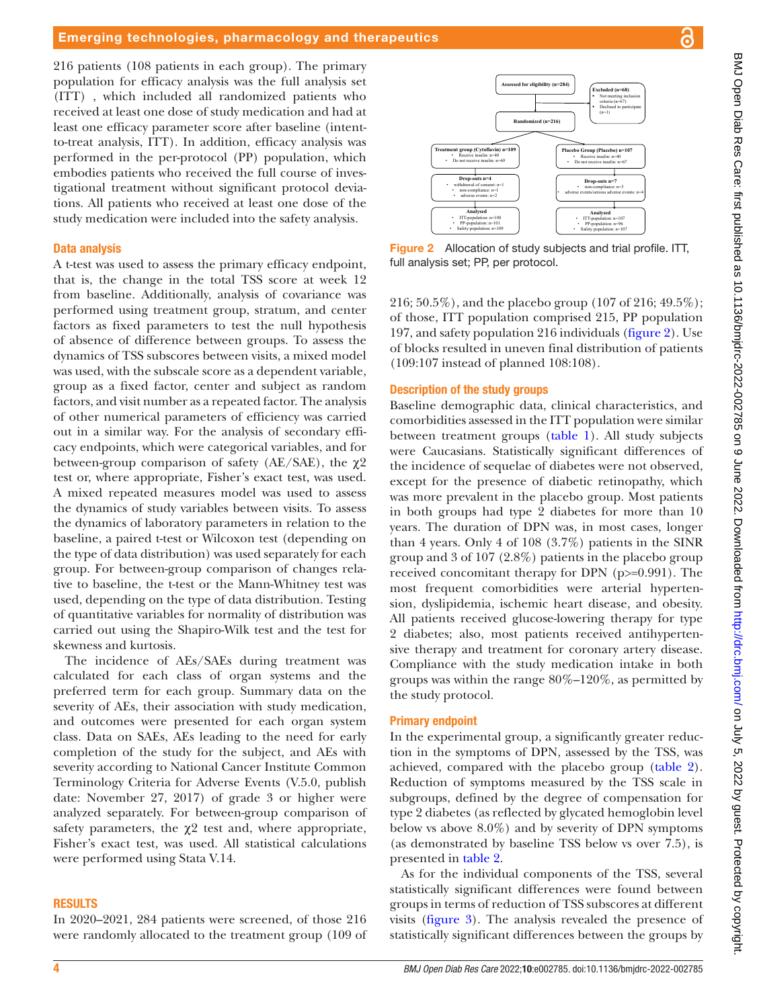216 patients (108 patients in each group). The primary population for efficacy analysis was the full analysis set (ITT) , which included all randomized patients who received at least one dose of study medication and had at least one efficacy parameter score after baseline (intentto-treat analysis, ITT). In addition, efficacy analysis was performed in the per-protocol (PP) population, which embodies patients who received the full course of investigational treatment without significant protocol deviations. All patients who received at least one dose of the study medication were included into the safety analysis.

#### Data analysis

A t-test was used to assess the primary efficacy endpoint, that is, the change in the total TSS score at week 12 from baseline. Additionally, analysis of covariance was performed using treatment group, stratum, and center factors as fixed parameters to test the null hypothesis of absence of difference between groups. To assess the dynamics of TSS subscores between visits, a mixed model was used, with the subscale score as a dependent variable, group as a fixed factor, center and subject as random factors, and visit number as a repeated factor. The analysis of other numerical parameters of efficiency was carried out in a similar way. For the analysis of secondary efficacy endpoints, which were categorical variables, and for between-group comparison of safety (AE/SAE), the  $\chi$ 2 test or, where appropriate, Fisher's exact test, was used. A mixed repeated measures model was used to assess the dynamics of study variables between visits. To assess the dynamics of laboratory parameters in relation to the baseline, a paired t-test or Wilcoxon test (depending on the type of data distribution) was used separately for each group. For between-group comparison of changes relative to baseline, the t-test or the Mann-Whitney test was used, depending on the type of data distribution. Testing of quantitative variables for normality of distribution was carried out using the Shapiro-Wilk test and the test for skewness and kurtosis.

The incidence of AEs/SAEs during treatment was calculated for each class of organ systems and the preferred term for each group. Summary data on the severity of AEs, their association with study medication, and outcomes were presented for each organ system class. Data on SAEs, AEs leading to the need for early completion of the study for the subject, and AEs with severity according to National Cancer Institute Common Terminology Criteria for Adverse Events (V.5.0, publish date: November 27, 2017) of grade 3 or higher were analyzed separately. For between-group comparison of safety parameters, the  $\chi$ <sup>2</sup> test and, where appropriate, Fisher's exact test, was used. All statistical calculations were performed using Stata V.14.

#### RESULTS

In 2020–2021, 284 patients were screened, of those 216 were randomly allocated to the treatment group (109 of



<span id="page-3-0"></span>Figure 2 Allocation of study subjects and trial profile. ITT, full analysis set; PP, per protocol.

216; 50.5%), and the placebo group (107 of 216; 49.5%); of those, ITT population comprised 215, PP population 197, and safety population 216 individuals [\(figure](#page-3-0) 2). Use of blocks resulted in uneven final distribution of patients (109:107 instead of planned 108:108).

#### Description of the study groups

Baseline demographic data, clinical characteristics, and comorbidities assessed in the ITT population were similar between treatment groups ([table](#page-4-0) 1). All study subjects were Caucasians. Statistically significant differences of the incidence of sequelae of diabetes were not observed, except for the presence of diabetic retinopathy, which was more prevalent in the placebo group. Most patients in both groups had type 2 diabetes for more than 10 years. The duration of DPN was, in most cases, longer than 4 years. Only 4 of 108 (3.7%) patients in the SINR group and 3 of 107 (2.8%) patients in the placebo group received concomitant therapy for DPN (p>=0.991). The most frequent comorbidities were arterial hypertension, dyslipidemia, ischemic heart disease, and obesity. All patients received glucose-lowering therapy for type 2 diabetes; also, most patients received antihypertensive therapy and treatment for coronary artery disease. Compliance with the study medication intake in both groups was within the range 80%–120%, as permitted by the study protocol.

### Primary endpoint

In the experimental group, a significantly greater reduction in the symptoms of DPN, assessed by the TSS, was achieved, compared with the placebo group [\(table](#page-5-0) 2). Reduction of symptoms measured by the TSS scale in subgroups, defined by the degree of compensation for type 2 diabetes (as reflected by glycated hemoglobin level below vs above 8.0%) and by severity of DPN symptoms (as demonstrated by baseline TSS below vs over 7.5), is presented in [table](#page-5-0) 2.

As for the individual components of the TSS, several statistically significant differences were found between groups in terms of reduction of TSS subscores at different visits ([figure](#page-6-0) 3). The analysis revealed the presence of statistically significant differences between the groups by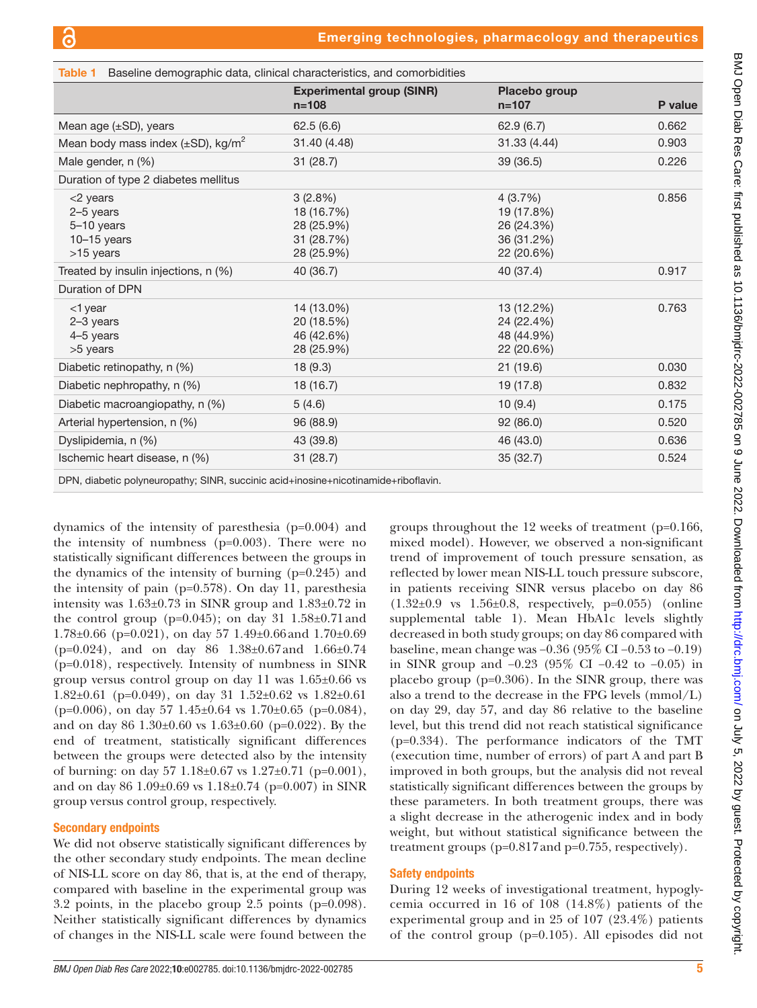<span id="page-4-0"></span>

| <b>Table 1</b> Baseline demographic data, clinical characteristics, and comorbidities |                                                                    |                                                                 |         |  |
|---------------------------------------------------------------------------------------|--------------------------------------------------------------------|-----------------------------------------------------------------|---------|--|
|                                                                                       | <b>Experimental group (SINR)</b><br>$n = 108$                      | Placebo group<br>$n = 107$                                      | P value |  |
| Mean age $(\pm SD)$ , years                                                           | 62.5(6.6)                                                          | 62.9(6.7)                                                       | 0.662   |  |
| Mean body mass index $(\pm SD)$ , kg/m <sup>2</sup>                                   | 31.40 (4.48)                                                       | 31.33 (4.44)                                                    | 0.903   |  |
| Male gender, n (%)                                                                    | 31(28.7)                                                           | 39 (36.5)                                                       | 0.226   |  |
| Duration of type 2 diabetes mellitus                                                  |                                                                    |                                                                 |         |  |
| $<$ 2 years<br>$2-5$ years<br>5-10 years<br>$10 - 15$ years<br>$>15$ years            | $3(2.8\%)$<br>18 (16.7%)<br>28 (25.9%)<br>31 (28.7%)<br>28 (25.9%) | 4(3.7%)<br>19 (17.8%)<br>26 (24.3%)<br>36 (31.2%)<br>22 (20.6%) | 0.856   |  |
| Treated by insulin injections, n (%)                                                  | 40 (36.7)                                                          | 40 (37.4)                                                       | 0.917   |  |
| Duration of DPN                                                                       |                                                                    |                                                                 |         |  |
| $<$ 1 year<br>2-3 years<br>$4-5$ years<br>>5 years                                    | 14 (13.0%)<br>20 (18.5%)<br>46 (42.6%)<br>28 (25.9%)               | 13 (12.2%)<br>24 (22.4%)<br>48 (44.9%)<br>22 (20.6%)            | 0.763   |  |
| Diabetic retinopathy, n (%)                                                           | 18 (9.3)                                                           | 21 (19.6)                                                       | 0.030   |  |
| Diabetic nephropathy, n (%)                                                           | 18 (16.7)                                                          | 19 (17.8)                                                       | 0.832   |  |
| Diabetic macroangiopathy, n (%)                                                       | 5(4.6)                                                             | 10(9.4)                                                         | 0.175   |  |
| Arterial hypertension, n (%)                                                          | 96 (88.9)                                                          | 92 (86.0)                                                       | 0.520   |  |
| Dyslipidemia, n (%)                                                                   | 43 (39.8)                                                          | 46 (43.0)                                                       | 0.636   |  |
| Ischemic heart disease, n (%)                                                         | 31(28.7)                                                           | 35 (32.7)                                                       | 0.524   |  |

DPN, diabetic polyneuropathy; SINR, succinic acid+inosine+nicotinamide+riboflavin.

dynamics of the intensity of paresthesia (p=0.004) and the intensity of numbness (p=0.003). There were no statistically significant differences between the groups in the dynamics of the intensity of burning (p=0.245) and the intensity of pain (p=0.578). On day 11, paresthesia intensity was  $1.63\pm0.73$  in SINR group and  $1.83\pm0.72$  in the control group ( $p=0.045$ ); on day 31 1.58 $\pm$ 0.71 and  $1.78\pm0.66$  (p=0.021), on day 57  $1.49\pm0.66$  and  $1.70\pm0.69$ (p=0.024), and on day 86 1.38±0.67and 1.66±0.74 (p=0.018), respectively. Intensity of numbness in SINR group versus control group on day 11 was 1.65±0.66 vs 1.82 $\pm$ 0.61 (p=0.049), on day 31 1.52 $\pm$ 0.62 vs 1.82 $\pm$ 0.61  $(p=0.006)$ , on day 57 1.45 $\pm$ 0.64 vs 1.70 $\pm$ 0.65 (p=0.084), and on day 86 1.30±0.60 vs 1.63±0.60 (p=0.022). By the end of treatment, statistically significant differences between the groups were detected also by the intensity of burning: on day 57 1.18±0.67 vs 1.27±0.71 (p=0.001), and on day 86 1.09±0.69 vs 1.18±0.74 (p=0.007) in SINR group versus control group, respectively.

### Secondary endpoints

We did not observe statistically significant differences by the other secondary study endpoints. The mean decline of NIS-LL score on day 86, that is, at the end of therapy, compared with baseline in the experimental group was 3.2 points, in the placebo group 2.5 points (p=0.098). Neither statistically significant differences by dynamics of changes in the NIS-LL scale were found between the

groups throughout the 12 weeks of treatment (p=0.166, mixed model). However, we observed a non-significant trend of improvement of touch pressure sensation, as reflected by lower mean NIS-LL touch pressure subscore, in patients receiving SINR versus placebo on day 86 (1.32±0.9 vs 1.56±0.8, respectively, p=0.055) [\(online](https://dx.doi.org/10.1136/bmjdrc-2022-002785) [supplemental table 1\)](https://dx.doi.org/10.1136/bmjdrc-2022-002785). Mean HbA1c levels slightly decreased in both study groups; on day 86 compared with baseline, mean change was −0.36 (95% CI −0.53 to −0.19) in SINR group and −0.23 (95% CI −0.42 to −0.05) in placebo group (p=0.306). In the SINR group, there was also a trend to the decrease in the FPG levels (mmol/L) on day 29, day 57, and day 86 relative to the baseline level, but this trend did not reach statistical significance (p=0.334). The performance indicators of the TMT (execution time, number of errors) of part A and part B improved in both groups, but the analysis did not reveal statistically significant differences between the groups by these parameters. In both treatment groups, there was a slight decrease in the atherogenic index and in body weight, but without statistical significance between the treatment groups (p=0.817and p=0.755, respectively).

### Safety endpoints

During 12 weeks of investigational treatment, hypoglycemia occurred in 16 of 108 (14.8%) patients of the experimental group and in 25 of 107 (23.4%) patients of the control group (p=0.105). All episodes did not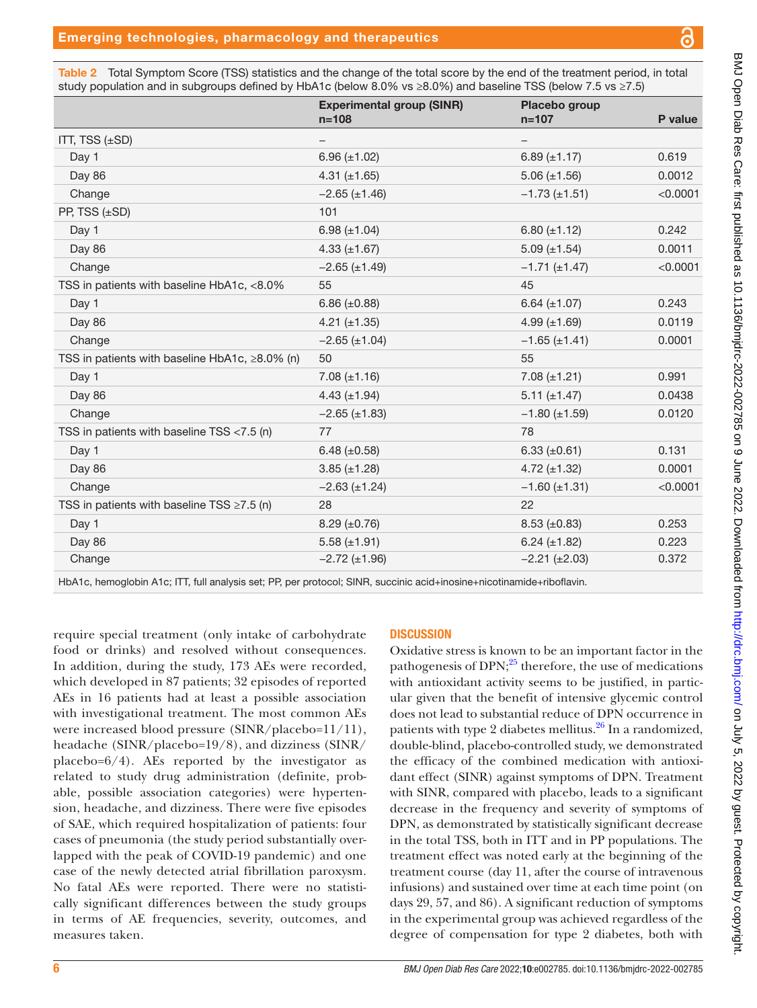<span id="page-5-0"></span>Table 2 Total Symptom Score (TSS) statistics and the change of the total score by the end of the treatment period, in total study population and in subgroups defined by HbA1c (below 8.0% vs ≥8.0%) and baseline TSS (below 7.5 vs ≥7.5)

|                                                  | <b>Experimental group (SINR)</b><br>$n = 108$ | Placebo group<br>$n = 107$ | P value  |
|--------------------------------------------------|-----------------------------------------------|----------------------------|----------|
| ITT, TSS (±SD)                                   |                                               |                            |          |
| Day 1                                            | 6.96 $(\pm 1.02)$                             | 6.89 $(\pm 1.17)$          | 0.619    |
| Day 86                                           | 4.31 $(\pm 1.65)$                             | $5.06 (\pm 1.56)$          | 0.0012   |
| Change                                           | $-2.65 \ (\pm 1.46)$                          | $-1.73 \ (\pm 1.51)$       | < 0.0001 |
| PP, TSS (±SD)                                    | 101                                           |                            |          |
| Day 1                                            | 6.98 $(\pm 1.04)$                             | 6.80 $(\pm 1.12)$          | 0.242    |
| Day 86                                           | 4.33 $(\pm 1.67)$                             | $5.09 \ (\pm 1.54)$        | 0.0011   |
| Change                                           | $-2.65 (\pm 1.49)$                            | $-1.71 (\pm 1.47)$         | < 0.0001 |
| TSS in patients with baseline HbA1c, <8.0%       | 55                                            | 45                         |          |
| Day 1                                            | 6.86 $(\pm 0.88)$                             | 6.64 $(\pm 1.07)$          | 0.243    |
| Day 86                                           | 4.21 $(\pm 1.35)$                             | 4.99 $(\pm 1.69)$          | 0.0119   |
| Change                                           | $-2.65 \ (\pm 1.04)$                          | $-1.65 \ (\pm 1.41)$       | 0.0001   |
| TSS in patients with baseline HbA1c, ≥8.0% (n)   | 50                                            | 55                         |          |
| Day 1                                            | $7.08 (\pm 1.16)$                             | $7.08 (\pm 1.21)$          | 0.991    |
| Day 86                                           | 4.43 $(\pm 1.94)$                             | $5.11 (\pm 1.47)$          | 0.0438   |
| Change                                           | $-2.65 (\pm 1.83)$                            | $-1.80$ (±1.59)            | 0.0120   |
| TSS in patients with baseline TSS $<$ 7.5 (n)    | 77                                            | 78                         |          |
| Day 1                                            | 6.48 $(\pm 0.58)$                             | 6.33 $(\pm 0.61)$          | 0.131    |
| Day 86                                           | $3.85 (\pm 1.28)$                             | 4.72 $(\pm 1.32)$          | 0.0001   |
| Change                                           | $-2.63 (\pm 1.24)$                            | $-1.60 \ (\pm 1.31)$       | < 0.0001 |
| TSS in patients with baseline TSS $\geq$ 7.5 (n) | 28                                            | 22                         |          |
| Day 1                                            | $8.29 \ (\pm 0.76)$                           | $8.53 \ (\pm 0.83)$        | 0.253    |
| Day 86                                           | $5.58 \ (\pm 1.91)$                           | $6.24 (\pm 1.82)$          | 0.223    |
| Change                                           | $-2.72 \ (\pm 1.96)$                          | $-2.21 (\pm 2.03)$         | 0.372    |
|                                                  |                                               |                            |          |

HbA1c, hemoglobin A1c; ITT, full analysis set; PP, per protocol; SINR, succinic acid+inosine+nicotinamide+riboflavin.

require special treatment (only intake of carbohydrate food or drinks) and resolved without consequences. In addition, during the study, 173 AEs were recorded, which developed in 87 patients; 32 episodes of reported AEs in 16 patients had at least a possible association with investigational treatment. The most common AEs were increased blood pressure (SINR/placebo=11/11), headache (SINR/placebo=19/8), and dizziness (SINR/ placebo= $6/4$ ). AEs reported by the investigator as related to study drug administration (definite, probable, possible association categories) were hypertension, headache, and dizziness. There were five episodes of SAE, which required hospitalization of patients: four cases of pneumonia (the study period substantially overlapped with the peak of COVID-19 pandemic) and one case of the newly detected atrial fibrillation paroxysm. No fatal AEs were reported. There were no statistically significant differences between the study groups in terms of AE frequencies, severity, outcomes, and measures taken.

## **DISCUSSION**

Oxidative stress is known to be an important factor in the pathogenesis of DPN; $^{25}$  $^{25}$  $^{25}$  therefore, the use of medications with antioxidant activity seems to be justified, in particular given that the benefit of intensive glycemic control does not lead to substantial reduce of DPN occurrence in patients with type 2 diabetes mellitus.<sup>26</sup> In a randomized, double-blind, placebo-controlled study, we demonstrated the efficacy of the combined medication with antioxidant effect (SINR) against symptoms of DPN. Treatment with SINR, compared with placebo, leads to a significant decrease in the frequency and severity of symptoms of DPN, as demonstrated by statistically significant decrease in the total TSS, both in ITT and in PP populations. The treatment effect was noted early at the beginning of the treatment course (day 11, after the course of intravenous infusions) and sustained over time at each time point (on days 29, 57, and 86). A significant reduction of symptoms in the experimental group was achieved regardless of the degree of compensation for type 2 diabetes, both with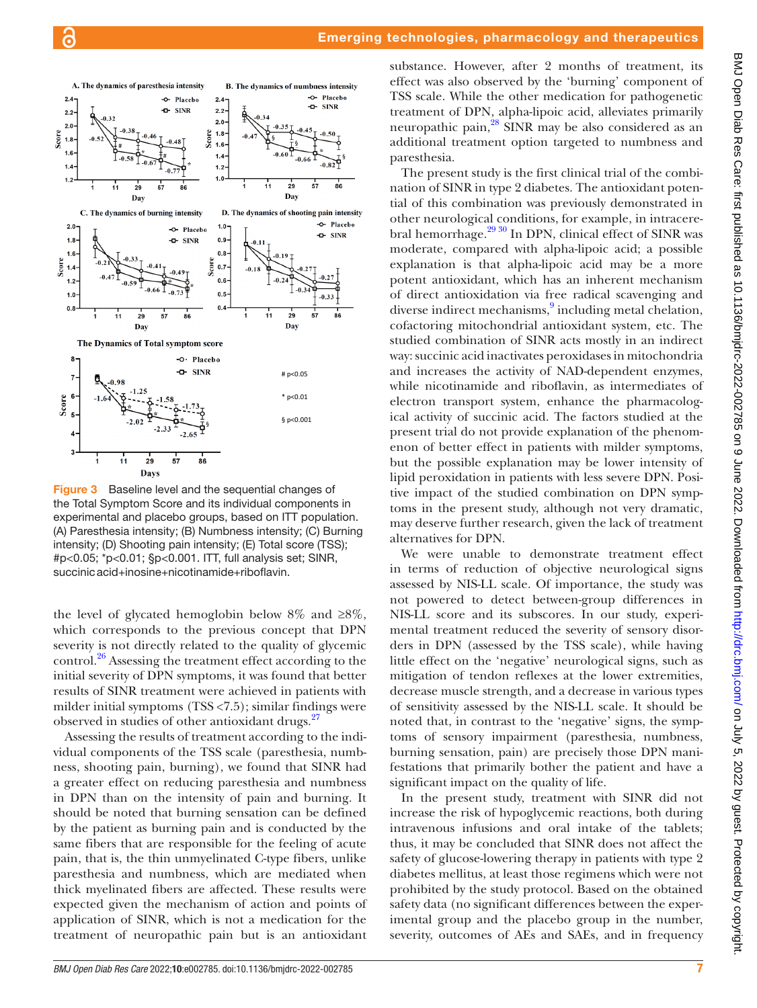

<span id="page-6-0"></span>Figure 3 Baseline level and the sequential changes of the Total Symptom Score and its individual components in experimental and placebo groups, based on ITT population. (A) Paresthesia intensity; (B) Numbness intensity; (C) Burning intensity; (D) Shooting pain intensity; (E) Total score (TSS); #p<0.05; \*p<0.01; §p<0.001. ITT, full analysis set; SINR, succinicacid+inosine+nicotinamide+riboflavin.

the level of glycated hemoglobin below  $8\%$  and  $\geq 8\%$ , which corresponds to the previous concept that DPN severity is not directly related to the quality of glycemic control.<sup>26</sup> Assessing the treatment effect according to the initial severity of DPN symptoms, it was found that better results of SINR treatment were achieved in patients with milder initial symptoms (TSS <7.5); similar findings were observed in studies of other antioxidant drugs.<sup>27</sup>

Assessing the results of treatment according to the individual components of the TSS scale (paresthesia, numbness, shooting pain, burning), we found that SINR had a greater effect on reducing paresthesia and numbness in DPN than on the intensity of pain and burning. It should be noted that burning sensation can be defined by the patient as burning pain and is conducted by the same fibers that are responsible for the feeling of acute pain, that is, the thin unmyelinated C-type fibers, unlike paresthesia and numbness, which are mediated when thick myelinated fibers are affected. These results were expected given the mechanism of action and points of application of SINR, which is not a medication for the treatment of neuropathic pain but is an antioxidant

substance. However, after 2 months of treatment, its effect was also observed by the 'burning' component of TSS scale. While the other medication for pathogenetic treatment of DPN, alpha-lipoic acid, alleviates primarily neuropathic pain[,28](#page-8-11) SINR may be also considered as an additional treatment option targeted to numbness and paresthesia.

The present study is the first clinical trial of the combination of SINR in type 2 diabetes. The antioxidant potential of this combination was previously demonstrated in other neurological conditions, for example, in intracerebral hemorrhage.<sup>29 30</sup> In DPN, clinical effect of SINR was moderate, compared with alpha-lipoic acid; a possible explanation is that alpha-lipoic acid may be a more potent antioxidant, which has an inherent mechanism of direct antioxidation via free radical scavenging and diverse indirect mechanisms,<sup>[9](#page-7-5)</sup> including metal chelation, cofactoring mitochondrial antioxidant system, etc. The studied combination of SINR acts mostly in an indirect way: succinic acid inactivates peroxidases in mitochondria and increases the activity of NAD-dependent enzymes, while nicotinamide and riboflavin, as intermediates of electron transport system, enhance the pharmacological activity of succinic acid. The factors studied at the present trial do not provide explanation of the phenomenon of better effect in patients with milder symptoms, but the possible explanation may be lower intensity of lipid peroxidation in patients with less severe DPN. Positive impact of the studied combination on DPN symptoms in the present study, although not very dramatic, may deserve further research, given the lack of treatment alternatives for DPN.

We were unable to demonstrate treatment effect in terms of reduction of objective neurological signs assessed by NIS-LL scale. Of importance, the study was not powered to detect between-group differences in NIS-LL score and its subscores. In our study, experimental treatment reduced the severity of sensory disorders in DPN (assessed by the TSS scale), while having little effect on the 'negative' neurological signs, such as mitigation of tendon reflexes at the lower extremities, decrease muscle strength, and a decrease in various types of sensitivity assessed by the NIS-LL scale. It should be noted that, in contrast to the 'negative' signs, the symptoms of sensory impairment (paresthesia, numbness, burning sensation, pain) are precisely those DPN manifestations that primarily bother the patient and have a significant impact on the quality of life.

In the present study, treatment with SINR did not increase the risk of hypoglycemic reactions, both during intravenous infusions and oral intake of the tablets; thus, it may be concluded that SINR does not affect the safety of glucose-lowering therapy in patients with type 2 diabetes mellitus, at least those regimens which were not prohibited by the study protocol. Based on the obtained safety data (no significant differences between the experimental group and the placebo group in the number, severity, outcomes of AEs and SAEs, and in frequency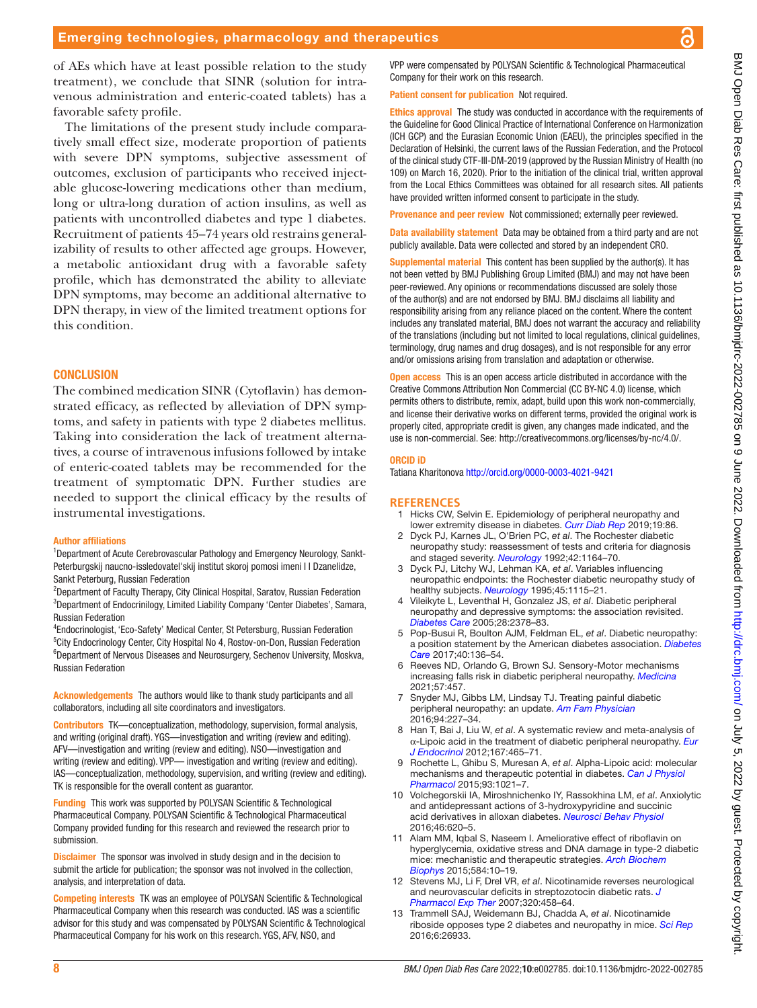of AEs which have at least possible relation to the study treatment), we conclude that SINR (solution for intravenous administration and enteric-coated tablets) has a

favorable safety profile.

The limitations of the present study include comparatively small effect size, moderate proportion of patients with severe DPN symptoms, subjective assessment of outcomes, exclusion of participants who received injectable glucose-lowering medications other than medium, long or ultra-long duration of action insulins, as well as patients with uncontrolled diabetes and type 1 diabetes. Recruitment of patients 45–74 years old restrains generalizability of results to other affected age groups. However, a metabolic antioxidant drug with a favorable safety profile, which has demonstrated the ability to alleviate DPN symptoms, may become an additional alternative to DPN therapy, in view of the limited treatment options for The combined medication SINR (Cytoflavin) has demonstrated efficacy, as reflected by alleviation of DPN symp-

toms, and safety in patients with type 2 diabetes mellitus. Taking into consideration the lack of treatment alternatives, a course of intravenous infusions followed by intake of enteric-coated tablets may be recommended for the treatment of symptomatic DPN. Further studies are needed to support the clinical efficacy by the results of instrumental investigations.

#### Author affiliations

this condition.

**CONCLUSION** 

<sup>1</sup>Department of Acute Cerebrovascular Pathology and Emergency Neurology, Sankt-Peterburgskij naucno-issledovatel'skij institut skoroj pomosi imeni I I Dzanelidze, Sankt Peterburg, Russian Federation

<sup>2</sup>Department of Faculty Therapy, City Clinical Hospital, Saratov, Russian Federation <sup>3</sup>Department of Endocrinilogy, Limited Liability Company 'Center Diabetes', Samara, Russian Federation

4 Endocrinologist, 'Eco-Safety' Medical Center, St Petersburg, Russian Federation <sup>5</sup>City Endocrinology Center, City Hospital No 4, Rostov-on-Don, Russian Federation <sup>6</sup>Department of Nervous Diseases and Neurosurgery, Sechenov University, Moskva, Russian Federation

Acknowledgements The authors would like to thank study participants and all collaborators, including all site coordinators and investigators.

Contributors TK—conceptualization, methodology, supervision, formal analysis, and writing (original draft). YGS—investigation and writing (review and editing). AFV—investigation and writing (review and editing). NSO—investigation and writing (review and editing). VPP— investigation and writing (review and editing). IAS—conceptualization, methodology, supervision, and writing (review and editing). TK is responsible for the overall content as guarantor.

Funding This work was supported by POLYSAN Scientific & Technological Pharmaceutical Company. POLYSAN Scientific & Technological Pharmaceutical Company provided funding for this research and reviewed the research prior to submission.

**Disclaimer** The sponsor was involved in study design and in the decision to submit the article for publication; the sponsor was not involved in the collection, analysis, and interpretation of data.

Competing interests TK was an employee of POLYSAN Scientific & Technological Pharmaceutical Company when this research was conducted. IAS was a scientific advisor for this study and was compensated by POLYSAN Scientific & Technological Pharmaceutical Company for his work on this research. YGS, AFV, NSO, and

VPP were compensated by POLYSAN Scientific & Technological Pharmaceutical Company for their work on this research.

Patient consent for publication Not required.

Ethics approval The study was conducted in accordance with the requirements of the Guideline for Good Clinical Practice of International Conference on Harmonization (ICH GCP) and the Eurasian Economic Union (EAEU), the principles specified in the Declaration of Helsinki, the current laws of the Russian Federation, and the Protocol of the clinical study CTF-III-DM-2019 (approved by the Russian Ministry of Health (no 109) on March 16, 2020). Prior to the initiation of the clinical trial, written approval from the Local Ethics Committees was obtained for all research sites. All patients have provided written informed consent to participate in the study.

Provenance and peer review Not commissioned; externally peer reviewed.

Data availability statement Data may be obtained from a third party and are not publicly available. Data were collected and stored by an independent CRO.

Supplemental material This content has been supplied by the author(s). It has not been vetted by BMJ Publishing Group Limited (BMJ) and may not have been peer-reviewed. Any opinions or recommendations discussed are solely those of the author(s) and are not endorsed by BMJ. BMJ disclaims all liability and responsibility arising from any reliance placed on the content. Where the content includes any translated material, BMJ does not warrant the accuracy and reliability of the translations (including but not limited to local regulations, clinical guidelines, terminology, drug names and drug dosages), and is not responsible for any error and/or omissions arising from translation and adaptation or otherwise.

**Open access** This is an open access article distributed in accordance with the Creative Commons Attribution Non Commercial (CC BY-NC 4.0) license, which permits others to distribute, remix, adapt, build upon this work non-commercially, and license their derivative works on different terms, provided the original work is properly cited, appropriate credit is given, any changes made indicated, and the use is non-commercial. See:<http://creativecommons.org/licenses/by-nc/4.0/>.

#### ORCID iD

Tatiana Kharitonova <http://orcid.org/0000-0003-4021-9421>

#### **REFERENCES**

- <span id="page-7-0"></span>1 Hicks CW, Selvin E. Epidemiology of peripheral neuropathy and lower extremity disease in diabetes. *[Curr Diab Rep](http://dx.doi.org/10.1007/s11892-019-1212-8)* 2019;19:86.
- <span id="page-7-1"></span>2 Dyck PJ, Karnes JL, O'Brien PC, *et al*. The Rochester diabetic neuropathy study: reassessment of tests and criteria for diagnosis and staged severity. *[Neurology](http://dx.doi.org/10.1212/WNL.42.6.1164)* 1992;42:1164–70.
- 3 Dyck PJ, Litchy WJ, Lehman KA, *et al*. Variables influencing neuropathic endpoints: the Rochester diabetic neuropathy study of healthy subjects. *[Neurology](http://dx.doi.org/10.1212/WNL.45.6.1115)* 1995;45:1115–21.
- <span id="page-7-2"></span>4 Vileikyte L, Leventhal H, Gonzalez JS, *et al*. Diabetic peripheral neuropathy and depressive symptoms: the association revisited. *[Diabetes Care](http://dx.doi.org/10.2337/diacare.28.10.2378)* 2005;28:2378–83.
- <span id="page-7-3"></span>5 Pop-Busui R, Boulton AJM, Feldman EL, *et al*. Diabetic neuropathy: a position statement by the American diabetes association. *[Diabetes](http://dx.doi.org/10.2337/dc16-2042)  [Care](http://dx.doi.org/10.2337/dc16-2042)* 2017;40:136–54.
- 6 Reeves ND, Orlando G, Brown SJ. Sensory-Motor mechanisms increasing falls risk in diabetic peripheral neuropathy. *[Medicina](http://dx.doi.org/10.3390/medicina57050457)* 2021;57:457.
- 7 Snyder MJ, Gibbs LM, Lindsay TJ. Treating painful diabetic peripheral neuropathy: an update. *[Am Fam Physician](http://www.ncbi.nlm.nih.gov/pubmed/27479625)* 2016;94:227–34.
- <span id="page-7-4"></span>8 Han T, Bai J, Liu W, *et al*. A systematic review and meta-analysis of α-Lipoic acid in the treatment of diabetic peripheral neuropathy. *[Eur](http://dx.doi.org/10.1530/EJE-12-0555)  [J Endocrinol](http://dx.doi.org/10.1530/EJE-12-0555)* 2012;167:465–71.
- <span id="page-7-5"></span>9 Rochette L, Ghibu S, Muresan A, *et al*. Alpha-Lipoic acid: molecular mechanisms and therapeutic potential in diabetes. *[Can J Physiol](http://dx.doi.org/10.1139/cjpp-2014-0353)  [Pharmacol](http://dx.doi.org/10.1139/cjpp-2014-0353)* 2015;93:1021–7.
- <span id="page-7-6"></span>10 Volchegorskii IA, Miroshnichenko IY, Rassokhina LM, *et al*. Anxiolytic and antidepressant actions of 3-hydroxypyridine and succinic acid derivatives in alloxan diabetes. *[Neurosci Behav Physiol](http://dx.doi.org/10.1007/s11055-016-0287-9)* 2016;46:620–5.
- 11 Alam MM, Iqbal S, Naseem I. Ameliorative effect of riboflavin on hyperglycemia, oxidative stress and DNA damage in type-2 diabetic mice: mechanistic and therapeutic strategies. *[Arch Biochem](http://dx.doi.org/10.1016/j.abb.2015.08.013)  [Biophys](http://dx.doi.org/10.1016/j.abb.2015.08.013)* 2015;584:10–19.
- 12 Stevens MJ, Li F, Drel VR, *et al*. Nicotinamide reverses neurological and neurovascular deficits in streptozotocin diabetic rats. *[J](http://dx.doi.org/10.1124/jpet.106.109702)  [Pharmacol Exp Ther](http://dx.doi.org/10.1124/jpet.106.109702)* 2007;320:458–64.
- 13 Trammell SAJ, Weidemann BJ, Chadda A, *et al*. Nicotinamide riboside opposes type 2 diabetes and neuropathy in mice. *[Sci Rep](http://dx.doi.org/10.1038/srep26933)* 2016;6:26933.